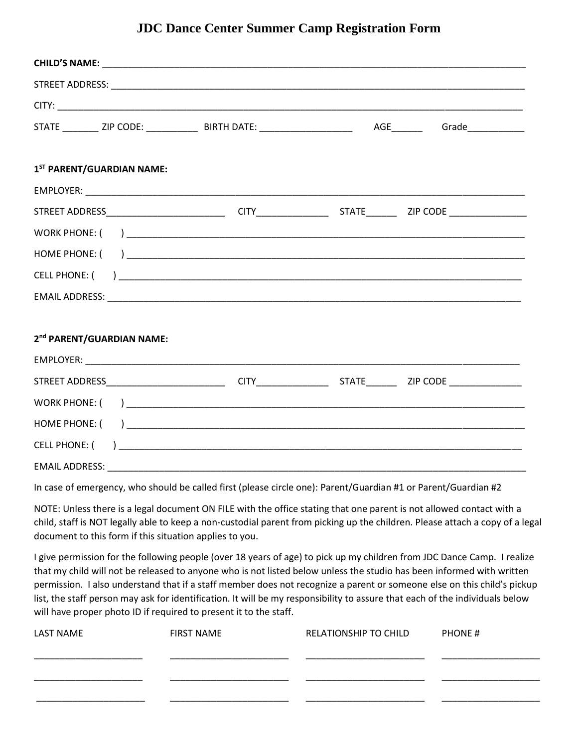## **JDC Dance Center Summer Camp Registration Form**

| 1 <sup>ST</sup> PARENT/GUARDIAN NAME: |  |  |
|---------------------------------------|--|--|
|                                       |  |  |
|                                       |  |  |
|                                       |  |  |
|                                       |  |  |
|                                       |  |  |
|                                       |  |  |
| 2 <sup>nd</sup> PARENT/GUARDIAN NAME: |  |  |
|                                       |  |  |
|                                       |  |  |
|                                       |  |  |
|                                       |  |  |
|                                       |  |  |
| <b>EMAIL ADDRESS:</b>                 |  |  |

In case of emergency, who should be called first (please circle one): Parent/Guardian #1 or Parent/Guardian #2

NOTE: Unless there is a legal document ON FILE with the office stating that one parent is not allowed contact with a child, staff is NOT legally able to keep a non-custodial parent from picking up the children. Please attach a copy of a legal document to this form if this situation applies to you.

I give permission for the following people (over 18 years of age) to pick up my children from JDC Dance Camp. I realize that my child will not be released to anyone who is not listed below unless the studio has been informed with written permission. I also understand that if a staff member does not recognize a parent or someone else on this child's pickup list, the staff person may ask for identification. It will be my responsibility to assure that each of the individuals below will have proper photo ID if required to present it to the staff.

| LAST NAME | <b>FIRST NAME</b> | RELATIONSHIP TO CHILD | <b>PHONE#</b> |
|-----------|-------------------|-----------------------|---------------|
|           |                   |                       |               |
|           |                   |                       |               |